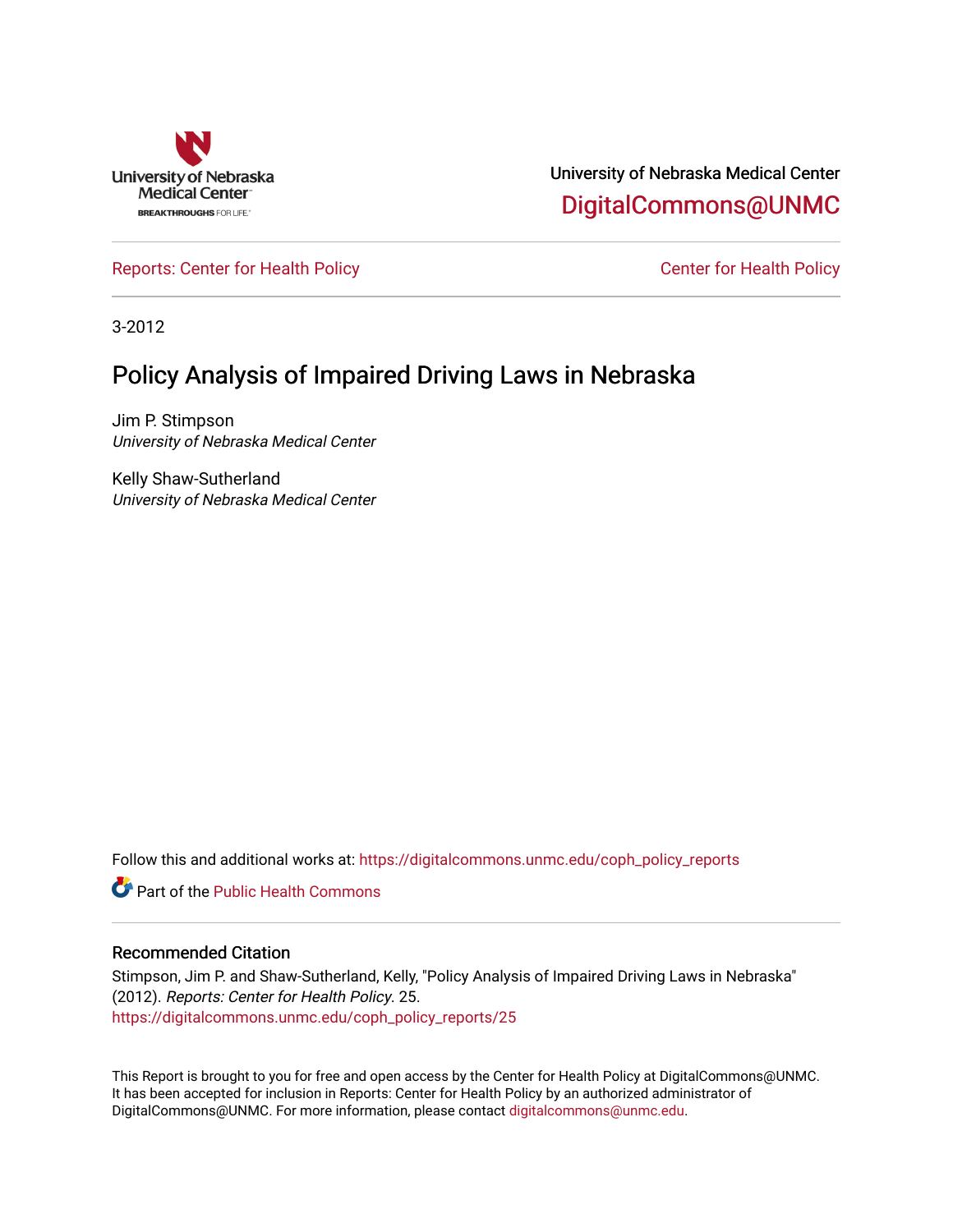

University of Nebraska Medical Center [DigitalCommons@UNMC](https://digitalcommons.unmc.edu/) 

[Reports: Center for Health Policy](https://digitalcommons.unmc.edu/coph_policy_reports) Center for Health Policy

3-2012

## Policy Analysis of Impaired Driving Laws in Nebraska

Jim P. Stimpson University of Nebraska Medical Center

Kelly Shaw-Sutherland University of Nebraska Medical Center

Follow this and additional works at: [https://digitalcommons.unmc.edu/coph\\_policy\\_reports](https://digitalcommons.unmc.edu/coph_policy_reports?utm_source=digitalcommons.unmc.edu%2Fcoph_policy_reports%2F25&utm_medium=PDF&utm_campaign=PDFCoverPages)

**C** Part of the Public Health Commons

## Recommended Citation

Stimpson, Jim P. and Shaw-Sutherland, Kelly, "Policy Analysis of Impaired Driving Laws in Nebraska" (2012). Reports: Center for Health Policy. 25. [https://digitalcommons.unmc.edu/coph\\_policy\\_reports/25](https://digitalcommons.unmc.edu/coph_policy_reports/25?utm_source=digitalcommons.unmc.edu%2Fcoph_policy_reports%2F25&utm_medium=PDF&utm_campaign=PDFCoverPages) 

This Report is brought to you for free and open access by the Center for Health Policy at DigitalCommons@UNMC. It has been accepted for inclusion in Reports: Center for Health Policy by an authorized administrator of DigitalCommons@UNMC. For more information, please contact [digitalcommons@unmc.edu.](mailto:digitalcommons@unmc.edu)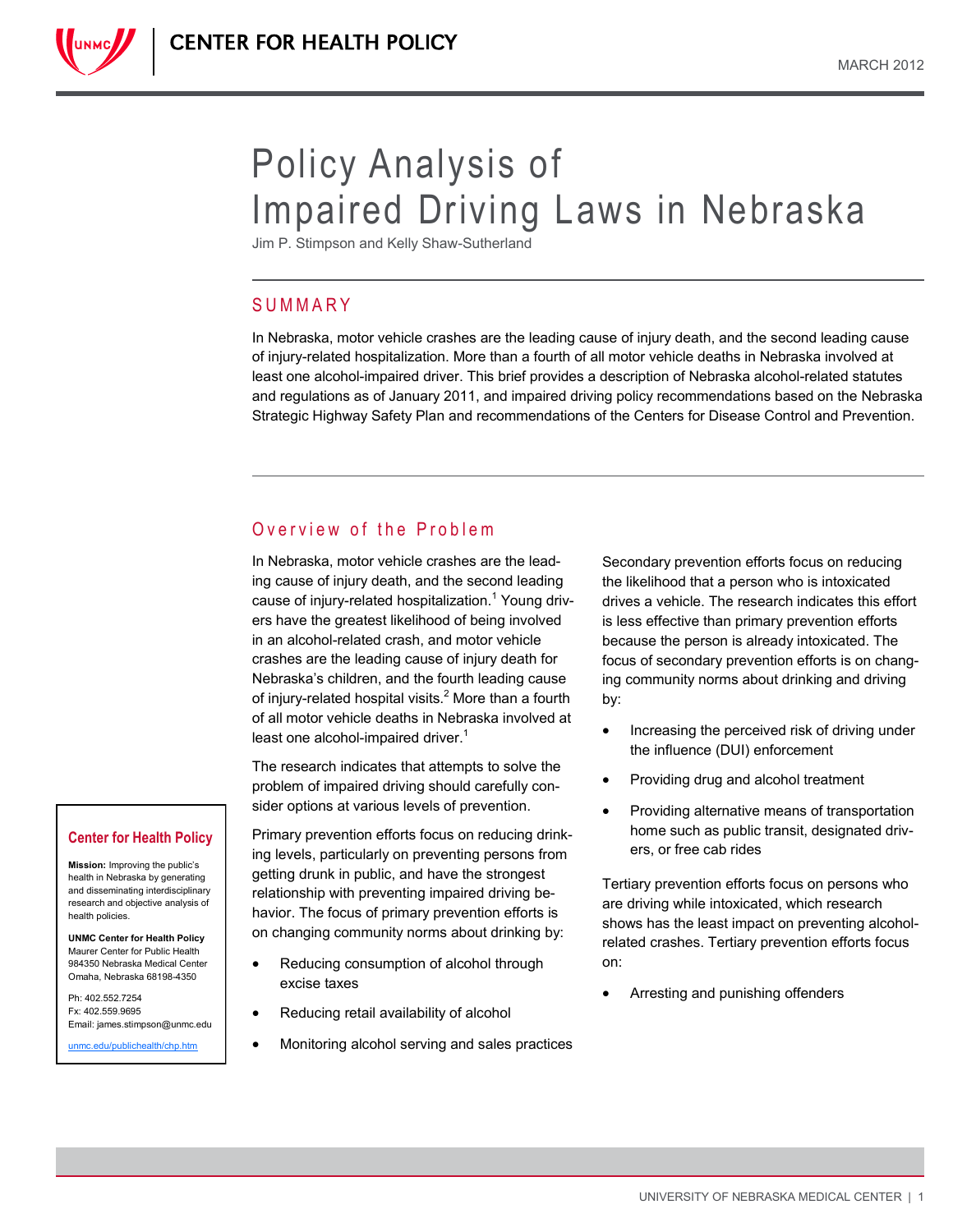

# Policy Analysis of Impaired Driving Laws in Nebraska

Jim P. Stimpson and Kelly Shaw-Sutherland

## **SUMMARY**

In Nebraska, motor vehicle crashes are the leading cause of injury death, and the second leading cause of injury-related hospitalization. More than a fourth of all motor vehicle deaths in Nebraska involved at least one alcohol-impaired driver. This brief provides a description of Nebraska alcohol-related statutes and regulations as of January 2011, and impaired driving policy recommendations based on the Nebraska Strategic Highway Safety Plan and recommendations of the Centers for Disease Control and Prevention.

## Overview of the Problem

In Nebraska, motor vehicle crashes are the leading cause of injury death, and the second leading cause of injury-related hospitalization.<sup>1</sup> Young drivers have the greatest likelihood of being involved in an alcohol-related crash, and motor vehicle crashes are the leading cause of injury death for Nebraska's children, and the fourth leading cause of injury-related hospital visits.<sup>2</sup> More than a fourth of all motor vehicle deaths in Nebraska involved at least one alcohol-impaired driver. $1$ 

The research indicates that attempts to solve the problem of impaired driving should carefully consider options at various levels of prevention.

Primary prevention efforts focus on reducing drinking levels, particularly on preventing persons from getting drunk in public, and have the strongest relationship with preventing impaired driving behavior. The focus of primary prevention efforts is on changing community norms about drinking by:

- Reducing consumption of alcohol through excise taxes
- Reducing retail availability of alcohol
- Monitoring alcohol serving and sales practices

Secondary prevention efforts focus on reducing the likelihood that a person who is intoxicated drives a vehicle. The research indicates this effort is less effective than primary prevention efforts because the person is already intoxicated. The focus of secondary prevention efforts is on changing community norms about drinking and driving by:

- Increasing the perceived risk of driving under the influence (DUI) enforcement
- Providing drug and alcohol treatment
- Providing alternative means of transportation home such as public transit, designated drivers, or free cab rides

Tertiary prevention efforts focus on persons who are driving while intoxicated, which research shows has the least impact on preventing alcoholrelated crashes. Tertiary prevention efforts focus on:

Arresting and punishing offenders

#### **Center for Health Policy**

**Mission:** Improving the public's health in Nebraska by generating and disseminating interdisciplinary research and objective analysis of health policies.

**UNMC Center for Health Policy** Maurer Center for Public Health 984350 Nebraska Medical Center Omaha, Nebraska 68198-4350

Ph: 402.552.7254 Fx: 402.559.9695 Email: james.stimpson@unmc.edu

[unmc.edu/publichealth/chp.htm](http://www.unmc.edu/publichealth/chp.htm)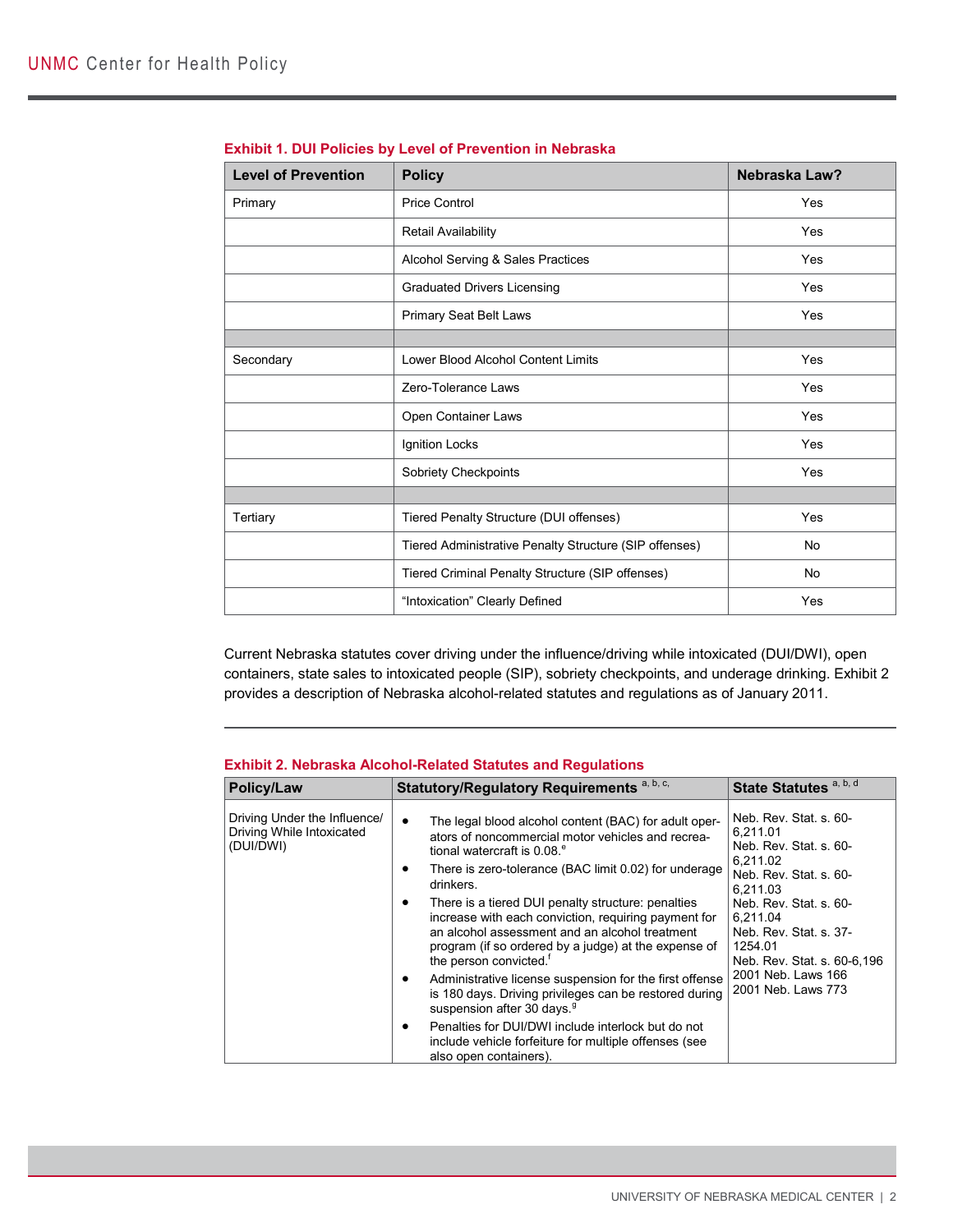| <b>Level of Prevention</b> | <b>Policy</b>                                          | Nebraska Law? |
|----------------------------|--------------------------------------------------------|---------------|
| Primary                    | <b>Price Control</b>                                   | Yes           |
|                            | Retail Availability                                    | Yes           |
|                            | Alcohol Serving & Sales Practices                      | Yes           |
|                            | <b>Graduated Drivers Licensing</b>                     | Yes           |
|                            | <b>Primary Seat Belt Laws</b>                          | Yes           |
|                            |                                                        |               |
| Secondary                  | Lower Blood Alcohol Content Limits                     | Yes           |
|                            | Zero-Tolerance Laws                                    | Yes           |
|                            | Open Container Laws                                    | Yes           |
|                            | Ignition Locks                                         | Yes           |
|                            | Sobriety Checkpoints                                   | Yes           |
|                            |                                                        |               |
| Tertiary                   | Tiered Penalty Structure (DUI offenses)                | Yes           |
|                            | Tiered Administrative Penalty Structure (SIP offenses) | No            |
|                            | Tiered Criminal Penalty Structure (SIP offenses)       | <b>No</b>     |
|                            | "Intoxication" Clearly Defined                         | Yes           |

| <b>Exhibit 1. DUI Policies by Level of Prevention in Nebraska</b> |  |  |
|-------------------------------------------------------------------|--|--|
|                                                                   |  |  |

Current Nebraska statutes cover driving under the influence/driving while intoxicated (DUI/DWI), open containers, state sales to intoxicated people (SIP), sobriety checkpoints, and underage drinking. Exhibit 2 provides a description of Nebraska alcohol-related statutes and regulations as of January 2011.

| Policy/Law                                                             | Statutory/Regulatory Requirements <sup>a, b, c,</sup>                                                                                                                                                                                                                                                                                                                                                                                                                                                                                                                                                                                                                                                                                                                                                                              | State Statutes <sup>a, b, d</sup>                                                                                                                                                                                                                                    |
|------------------------------------------------------------------------|------------------------------------------------------------------------------------------------------------------------------------------------------------------------------------------------------------------------------------------------------------------------------------------------------------------------------------------------------------------------------------------------------------------------------------------------------------------------------------------------------------------------------------------------------------------------------------------------------------------------------------------------------------------------------------------------------------------------------------------------------------------------------------------------------------------------------------|----------------------------------------------------------------------------------------------------------------------------------------------------------------------------------------------------------------------------------------------------------------------|
| Driving Under the Influence/<br>Driving While Intoxicated<br>(DUI/DWI) | The legal blood alcohol content (BAC) for adult oper-<br>$\bullet$<br>ators of noncommercial motor vehicles and recrea-<br>tional watercraft is 0.08. <sup>e</sup><br>There is zero-tolerance (BAC limit 0.02) for underage<br>٠<br>drinkers.<br>There is a tiered DUI penalty structure: penalties<br>٠<br>increase with each conviction, requiring payment for<br>an alcohol assessment and an alcohol treatment<br>program (if so ordered by a judge) at the expense of<br>the person convicted. <sup>†</sup><br>Administrative license suspension for the first offense<br>٠<br>is 180 days. Driving privileges can be restored during<br>suspension after 30 days. <sup>9</sup><br>Penalties for DUI/DWI include interlock but do not<br>٠<br>include vehicle forfeiture for multiple offenses (see<br>also open containers). | Neb. Rev. Stat. s. 60-<br>6.211.01<br>Neb. Rev. Stat. s. 60-<br>6.211.02<br>Neb. Rev. Stat. s. 60-<br>6.211.03<br>Neb. Rev. Stat. s. 60-<br>6.211.04<br>Neb. Rev. Stat. s. 37-<br>1254.01<br>Neb. Rev. Stat. s. 60-6,196<br>2001 Neb. Laws 166<br>2001 Neb. Laws 773 |

## **Exhibit 2. Nebraska Alcohol-Related Statutes and Regulations**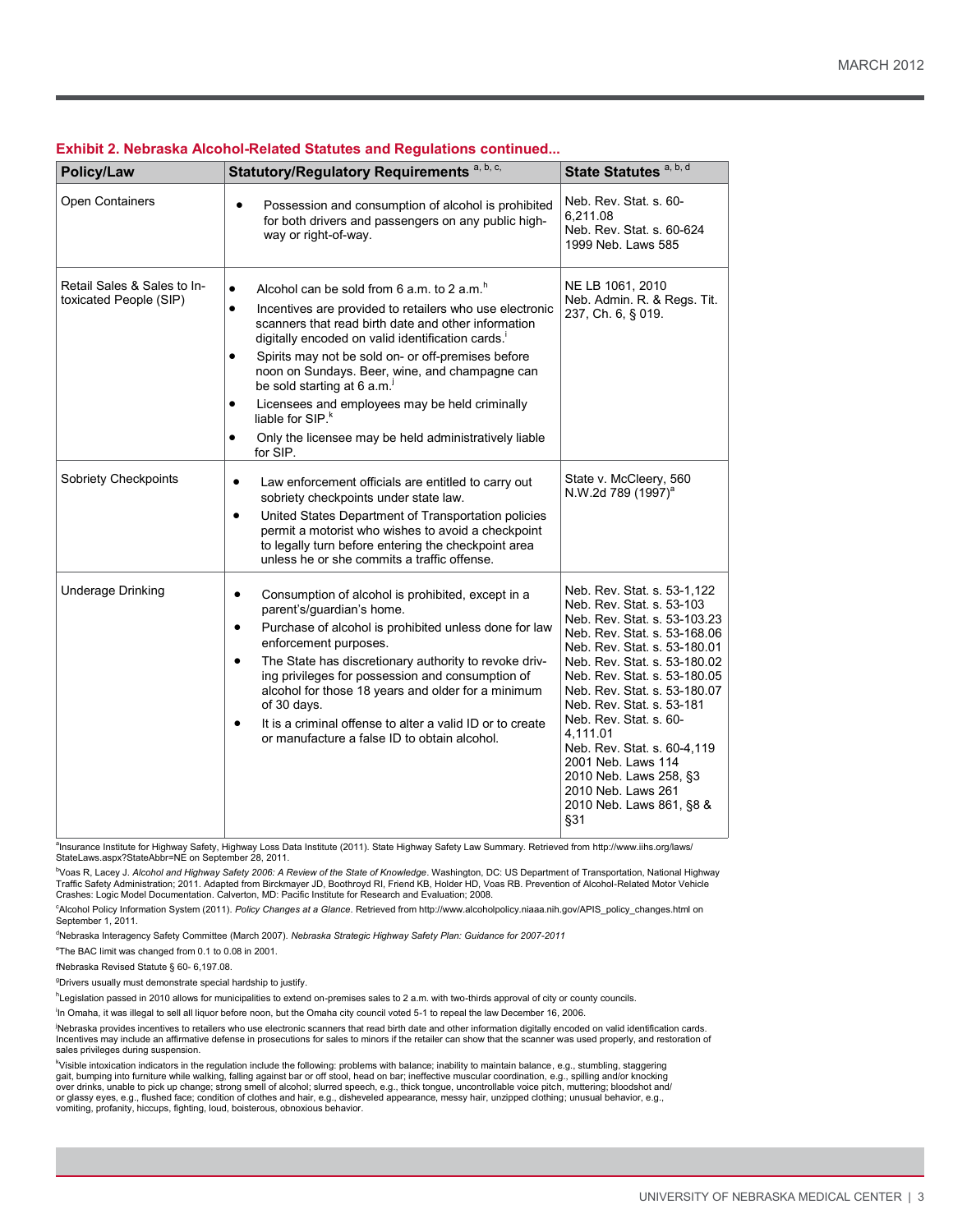| Policy/Law                                            | Statutory/Regulatory Requirements a, b, c,                                                                                                                                                                                                                                                                                                                                                                                                                                                                                                                                                  | State Statutes <sup>a, b, d</sup>                                                                                                                                                                                                                                                                                                                                                                                                                                   |
|-------------------------------------------------------|---------------------------------------------------------------------------------------------------------------------------------------------------------------------------------------------------------------------------------------------------------------------------------------------------------------------------------------------------------------------------------------------------------------------------------------------------------------------------------------------------------------------------------------------------------------------------------------------|---------------------------------------------------------------------------------------------------------------------------------------------------------------------------------------------------------------------------------------------------------------------------------------------------------------------------------------------------------------------------------------------------------------------------------------------------------------------|
| Open Containers                                       | $\bullet$<br>Possession and consumption of alcohol is prohibited<br>for both drivers and passengers on any public high-<br>way or right-of-way.                                                                                                                                                                                                                                                                                                                                                                                                                                             | Neb. Rev. Stat. s. 60-<br>6.211.08<br>Neb. Rev. Stat. s. 60-624<br>1999 Neb. Laws 585                                                                                                                                                                                                                                                                                                                                                                               |
| Retail Sales & Sales to In-<br>toxicated People (SIP) | Alcohol can be sold from 6 a.m. to 2 a.m. <sup>h</sup><br>$\bullet$<br>Incentives are provided to retailers who use electronic<br>$\bullet$<br>scanners that read birth date and other information<br>digitally encoded on valid identification cards."<br>Spirits may not be sold on- or off-premises before<br>$\bullet$<br>noon on Sundays. Beer, wine, and champagne can<br>be sold starting at 6 a.m.<br>Licensees and employees may be held criminally<br>$\bullet$<br>liable for SIP. <sup>k</sup><br>Only the licensee may be held administratively liable<br>$\bullet$<br>for SIP. | NE LB 1061, 2010<br>Neb. Admin. R. & Regs. Tit.<br>237, Ch. 6, § 019.                                                                                                                                                                                                                                                                                                                                                                                               |
| Sobriety Checkpoints                                  | $\bullet$<br>Law enforcement officials are entitled to carry out<br>sobriety checkpoints under state law.<br>United States Department of Transportation policies<br>$\bullet$<br>permit a motorist who wishes to avoid a checkpoint<br>to legally turn before entering the checkpoint area<br>unless he or she commits a traffic offense.                                                                                                                                                                                                                                                   | State v. McCleery, 560<br>N.W.2d 789 (1997) <sup>a</sup>                                                                                                                                                                                                                                                                                                                                                                                                            |
| <b>Underage Drinking</b>                              | Consumption of alcohol is prohibited, except in a<br>$\bullet$<br>parent's/guardian's home.<br>Purchase of alcohol is prohibited unless done for law<br>$\bullet$<br>enforcement purposes.<br>The State has discretionary authority to revoke driv-<br>$\bullet$<br>ing privileges for possession and consumption of<br>alcohol for those 18 years and older for a minimum<br>of 30 days.<br>It is a criminal offense to alter a valid ID or to create<br>$\bullet$<br>or manufacture a false ID to obtain alcohol.                                                                         | Neb. Rev. Stat. s. 53-1,122<br>Neb. Rev. Stat. s. 53-103<br>Neb. Rev. Stat. s. 53-103.23<br>Neb. Rev. Stat. s. 53-168.06<br>Neb. Rev. Stat. s. 53-180.01<br>Neb. Rev. Stat. s. 53-180.02<br>Neb. Rev. Stat. s. 53-180.05<br>Neb. Rev. Stat. s. 53-180.07<br>Neb. Rev. Stat. s. 53-181<br>Neb. Rev. Stat. s. 60-<br>4.111.01<br>Neb. Rev. Stat. s. 60-4,119<br>2001 Neb. Laws 114<br>2010 Neb. Laws 258, §3<br>2010 Neb. Laws 261<br>2010 Neb. Laws 861, §8 &<br>§31 |

### **Exhibit 2. Nebraska Alcohol-Related Statutes and Regulations continued...**

a Insurance Institute for Highway Safety, Highway Loss Data Institute (2011). State Highway Safety Law Summary. Retrieved from http://www.iihs.org/laws/ StateLaws.aspx?StateAbbr=NE on September 28, 2011.

<sup>b</sup>Voas R, Lacey J. *Alcohol and Highway Safety 2006: A Review of the State of Knowledge. Washington, DC: US Department of Transportation, National Highway<br>Traffic Safety Administration; 2011. Adapted from Birckmayer JD,* Crashes: Logic Model Documentation. Calverton, MD: Pacific Institute for Research and Evaluation; 2008.

<sup>c</sup>Alcohol Policy Information System (2011). *Policy Changes at a Glance*. Retrieved from http://www.alcoholpolicy.niaaa.nih.gov/APIS\_policy\_changes.html on September 1, 2011.

<sup>d</sup>Nebraska Interagency Safety Committee (March 2007). *Nebraska Strategic Highway Safety Plan: Guidance for 2007-2011*

e The BAC limit was changed from 0.1 to 0.08 in 2001.

fNebraska Revised Statute § 60- 6,197.08.

<sup>9</sup>Drivers usually must demonstrate special hardship to justify.

hLegislation passed in 2010 allows for municipalities to extend on-premises sales to 2 a.m. with two-thirds approval of city or county councils.

i In Omaha, it was illegal to sell all liquor before noon, but the Omaha city council voted 5-1 to repeal the law December 16, 2006.

<sup>j</sup>Nebraska provides incentives to retailers who use electronic scanners that read birth date and other information digitally encoded on valid identification cards. Incentives may include an affirmative defense in prosecutions for sales to minors if the retailer can show that the scanner was used properly, and restoration of sales privileges during suspension.

<sup>k</sup>Visible intoxication indicators in the regulation include the following: problems with balance; inability to maintain balance, e.g., stumbling, staggering<br>gait, bumping into furniture while walking, falling against bar over drinks, unable to pick up change; strong smell of alcohol; slurred speech, e.g., thick tongue, uncontrollable voice pitch, muttering; bloodshot and/<br>or glassy eyes, e.g., flushed face; condition of clothes and hair, e